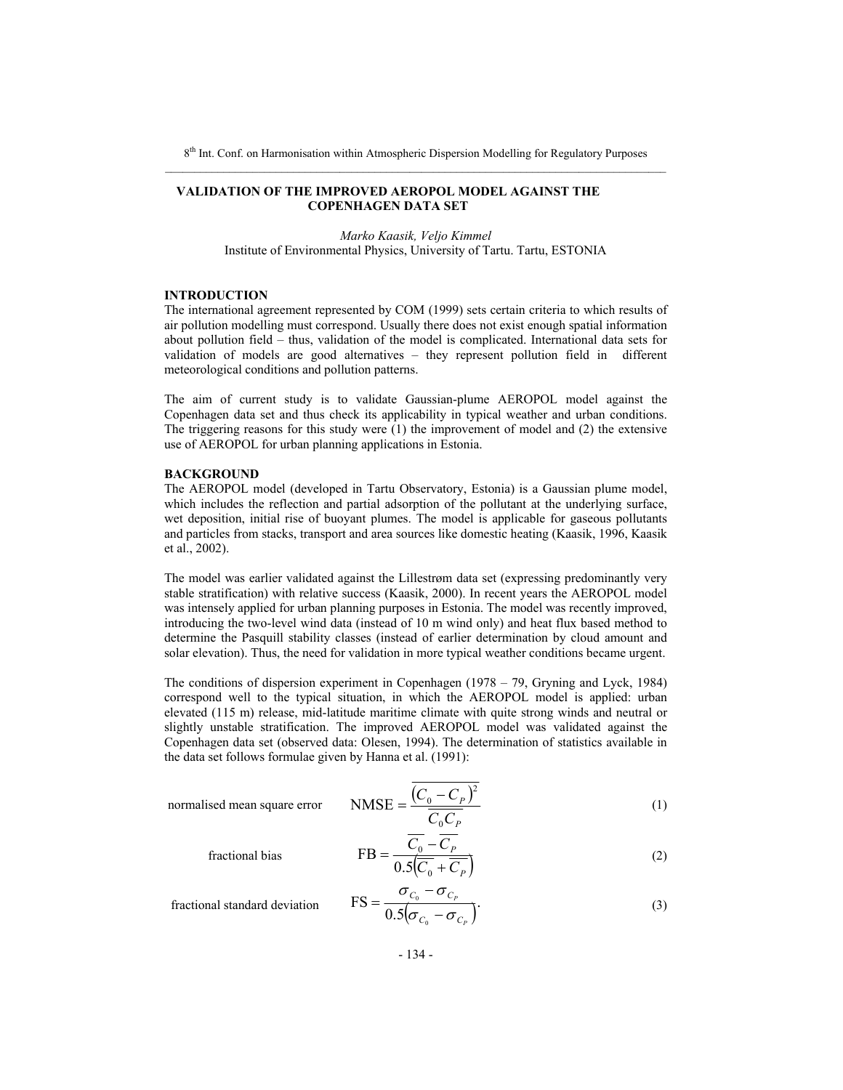#### **VALIDATION OF THE IMPROVED AEROPOL MODEL AGAINST THE COPENHAGEN DATA SET**

*Marko Kaasik, Veljo Kimmel*  Institute of Environmental Physics, University of Tartu. Tartu, ESTONIA

## **INTRODUCTION**

The international agreement represented by COM (1999) sets certain criteria to which results of air pollution modelling must correspond. Usually there does not exist enough spatial information about pollution field – thus, validation of the model is complicated. International data sets for validation of models are good alternatives – they represent pollution field in different meteorological conditions and pollution patterns.

The aim of current study is to validate Gaussian-plume AEROPOL model against the Copenhagen data set and thus check its applicability in typical weather and urban conditions. The triggering reasons for this study were (1) the improvement of model and (2) the extensive use of AEROPOL for urban planning applications in Estonia.

#### **BACKGROUND**

The AEROPOL model (developed in Tartu Observatory, Estonia) is a Gaussian plume model, which includes the reflection and partial adsorption of the pollutant at the underlying surface, wet deposition, initial rise of buoyant plumes. The model is applicable for gaseous pollutants and particles from stacks, transport and area sources like domestic heating (Kaasik, 1996, Kaasik et al., 2002).

The model was earlier validated against the Lillestrøm data set (expressing predominantly very stable stratification) with relative success (Kaasik, 2000). In recent years the AEROPOL model was intensely applied for urban planning purposes in Estonia. The model was recently improved, introducing the two-level wind data (instead of 10 m wind only) and heat flux based method to determine the Pasquill stability classes (instead of earlier determination by cloud amount and solar elevation). Thus, the need for validation in more typical weather conditions became urgent.

The conditions of dispersion experiment in Copenhagen (1978 – 79, Gryning and Lyck, 1984) correspond well to the typical situation, in which the AEROPOL model is applied: urban elevated (115 m) release, mid-latitude maritime climate with quite strong winds and neutral or slightly unstable stratification. The improved AEROPOL model was validated against the Copenhagen data set (observed data: Olesen, 1994). The determination of statistics available in the data set follows formulae given by Hanna et al. (1991):

fractional bias

normalised mean square error  $MSE = \frac{(C_0 - C_P)}{C}$ *P P*  $C_0C$  $C_0 - C$ 0 NMSE =  $\frac{(C_0 - C_p)^2}{(1)}$ 

$$
FB = \frac{\overline{C_0} - \overline{C_P}}{0.5(\overline{C_0} + \overline{C_P})}
$$
(2)

fractional standard deviation 
$$
FS = \frac{\sigma_{C_0} - \sigma_{C_P}}{0.5(\sigma_{C_0} - \sigma_{C_P})}.
$$
 (3)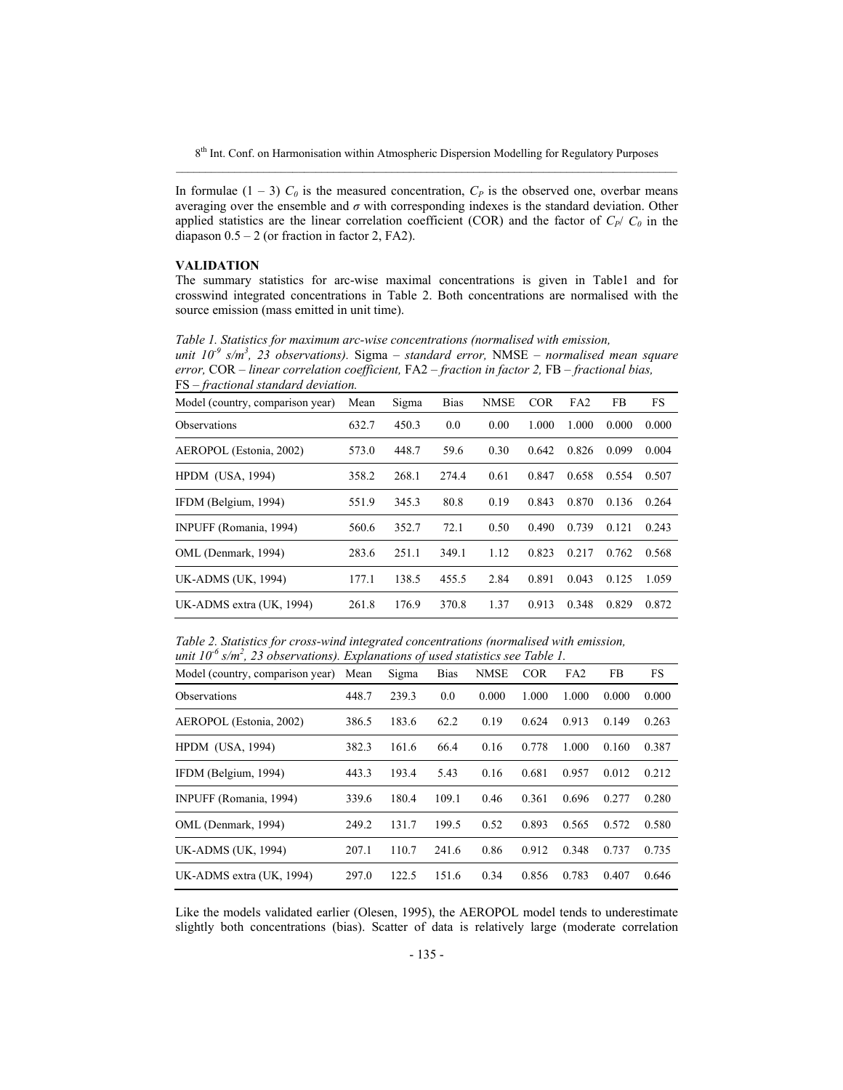In formulae  $(1 - 3)$   $C_0$  is the measured concentration,  $C_P$  is the observed one, overbar means averaging over the ensemble and  $\sigma$  with corresponding indexes is the standard deviation. Other applied statistics are the linear correlation coefficient (COR) and the factor of  $C_P$ / $C_Q$  in the diapason  $0.5 - 2$  (or fraction in factor 2, FA2).

### **VALIDATION**

The summary statistics for arc-wise maximal concentrations is given in Table1 and for crosswind integrated concentrations in Table 2. Both concentrations are normalised with the source emission (mass emitted in unit time).

*Table 1. Statistics for maximum arc-wise concentrations (normalised with emission, unit 10-9 s/m3 , 23 observations).* Sigma *– standard error,* NMSE *– normalised mean square error,* COR *– linear correlation coefficient,* FA2 *– fraction in factor 2,* FB *– fractional bias,*  FS *– fractional standard deviation.* 

| Model (country, comparison year) | Mean  | Sigma | <b>Bias</b> | <b>NMSE</b> | <b>COR</b> | FA2   | FB    | FS    |
|----------------------------------|-------|-------|-------------|-------------|------------|-------|-------|-------|
| <b>Observations</b>              | 632.7 | 450.3 | 0.0         | 0.00        | 1.000      | 1.000 | 0.000 | 0.000 |
| AEROPOL (Estonia, 2002)          | 573.0 | 448.7 | 59.6        | 0.30        | 0.642      | 0.826 | 0.099 | 0.004 |
| <b>HPDM</b> (USA, 1994)          | 358.2 | 268.1 | 274.4       | 0.61        | 0.847      | 0.658 | 0.554 | 0.507 |
| IFDM (Belgium, 1994)             | 551.9 | 345.3 | 80.8        | 0.19        | 0.843      | 0.870 | 0.136 | 0.264 |
| INPUFF (Romania, 1994)           | 560.6 | 352.7 | 72.1        | 0.50        | 0.490      | 0.739 | 0.121 | 0.243 |
| OML (Denmark, 1994)              | 283.6 | 251.1 | 349.1       | 1.12        | 0.823      | 0.217 | 0.762 | 0.568 |
| <b>UK-ADMS</b> (UK, 1994)        | 177.1 | 138.5 | 455.5       | 2.84        | 0.891      | 0.043 | 0.125 | 1.059 |
| UK-ADMS extra (UK, 1994)         | 261.8 | 176.9 | 370.8       | 1.37        | 0.913      | 0.348 | 0.829 | 0.872 |

*Table 2. Statistics for cross-wind integrated concentrations (normalised with emission, unit 10-6 s/m2 , 23 observations). Explanations of used statistics see Table 1.*

| Model (country, comparison year) | Mean  | Sigma | <b>Bias</b> | <b>NMSE</b> | <b>COR</b> | FA <sub>2</sub> | FB    | <b>FS</b> |
|----------------------------------|-------|-------|-------------|-------------|------------|-----------------|-------|-----------|
| <b>Observations</b>              | 448.7 | 239.3 | 0.0         | 0.000       | 1.000      | 1.000           | 0.000 | 0.000     |
| AEROPOL (Estonia, 2002)          | 386.5 | 183.6 | 62.2        | 0.19        | 0.624      | 0.913           | 0.149 | 0.263     |
| <b>HPDM</b> (USA, 1994)          | 382.3 | 161.6 | 66.4        | 0.16        | 0.778      | 1.000           | 0.160 | 0.387     |
| IFDM (Belgium, 1994)             | 443.3 | 193.4 | 5.43        | 0.16        | 0.681      | 0.957           | 0.012 | 0.212     |
| INPUFF (Romania, 1994)           | 339.6 | 180.4 | 109.1       | 0.46        | 0.361      | 0.696           | 0.277 | 0.280     |
| OML (Denmark, 1994)              | 249.2 | 131.7 | 199.5       | 0.52        | 0.893      | 0.565           | 0.572 | 0.580     |
| <b>UK-ADMS</b> (UK, 1994)        | 207.1 | 110.7 | 241.6       | 0.86        | 0.912      | 0.348           | 0.737 | 0.735     |
| UK-ADMS extra (UK, 1994)         | 297.0 | 122.5 | 151.6       | 0.34        | 0.856      | 0.783           | 0.407 | 0.646     |

Like the models validated earlier (Olesen, 1995), the AEROPOL model tends to underestimate slightly both concentrations (bias). Scatter of data is relatively large (moderate correlation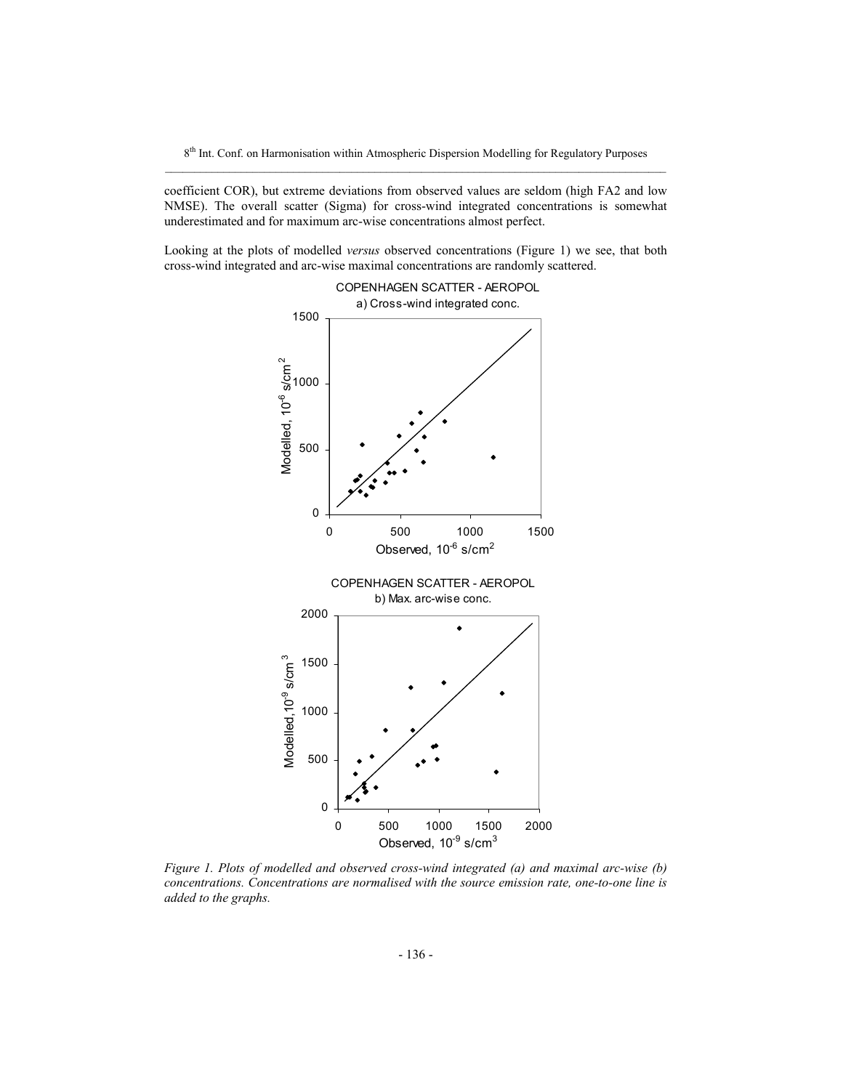coefficient COR), but extreme deviations from observed values are seldom (high FA2 and low NMSE). The overall scatter (Sigma) for cross-wind integrated concentrations is somewhat underestimated and for maximum arc-wise concentrations almost perfect.

Looking at the plots of modelled *versus* observed concentrations (Figure 1) we see, that both cross-wind integrated and arc-wise maximal concentrations are randomly scattered.



*Figure 1. Plots of modelled and observed cross-wind integrated (a) and maximal arc-wise (b) concentrations. Concentrations are normalised with the source emission rate, one-to-one line is added to the graphs.*